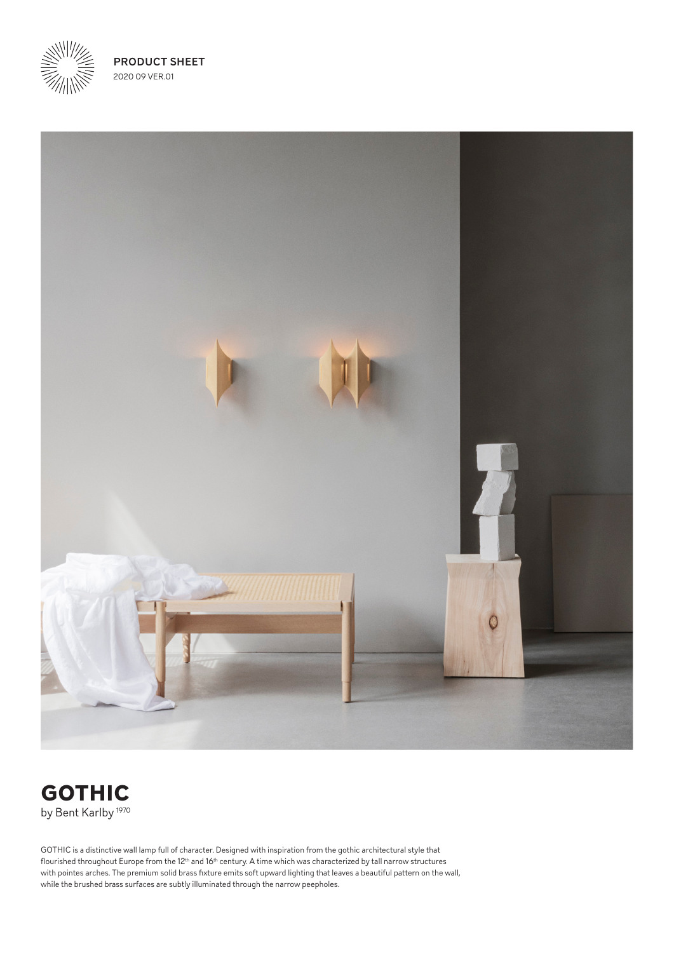

PRODUCT SHEET 2020 09 VER.01





GOTHIC is a distinctive wall lamp full of character. Designed with inspiration from the gothic architectural style that flourished throughout Europe from the 12th and 16th century. A time which was characterized by tall narrow structures with pointes arches. The premium solid brass fixture emits soft upward lighting that leaves a beautiful pattern on the wall, while the brushed brass surfaces are subtly illuminated through the narrow peepholes.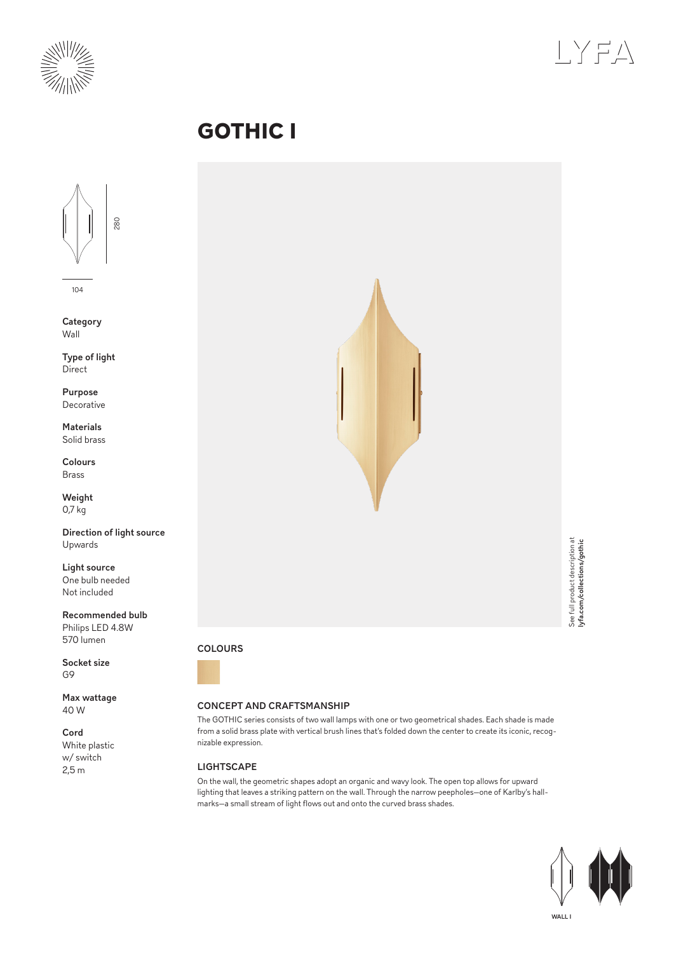



# **GOTHIC I**



104

**Category** Wall

Type of light **Direct** 

Purpose Decorative

Materials Solid brass

Colours Brass

Weight 0,7 kg

Direction of light source Upwards

Light source One bulb needed Not included

Recommended bulb Philips LED 4.8W 570 lumen

Socket size G9

Max wattage 40 W

Cord White plastic w/ switch 2,5 m



### COLOURS



### CONCEPT AND CRAFTSMANSHIP

The GOTHIC series consists of two wall lamps with one or two geometrical shades. Each shade is made from a solid brass plate with vertical brush lines that's folded down the center to create its iconic, recognizable expression.

## **LIGHTSCAPE**

On the wall, the geometric shapes adopt an organic and wavy look. The open top allows for upward lighting that leaves a striking pattern on the wall. Through the narrow peepholes—one of Karlby's hallmarks—a small stream of light flows out and onto the curved brass shades.

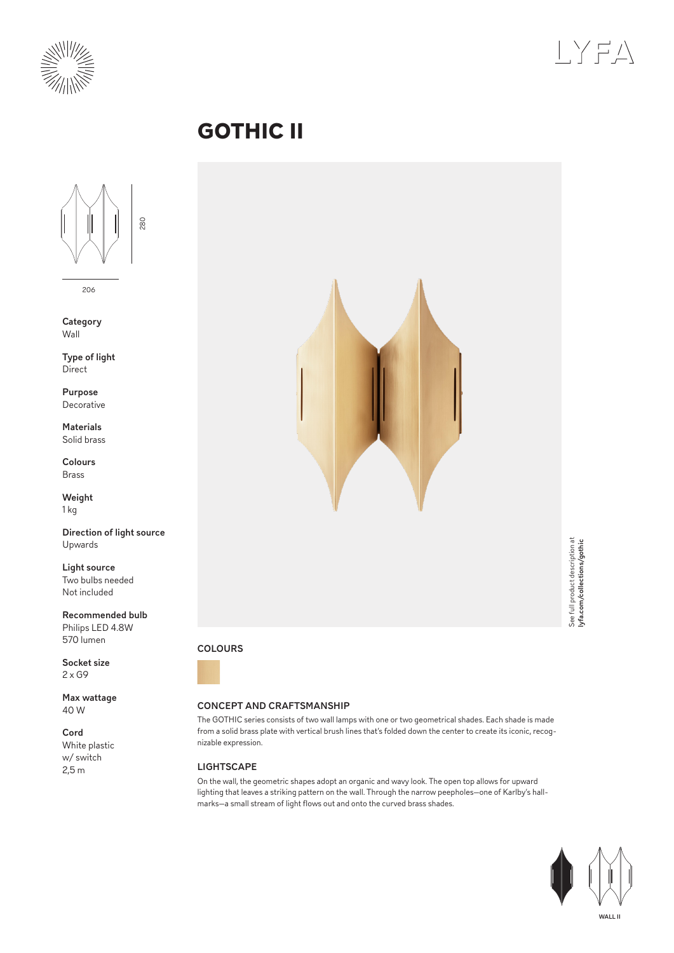



# **GOTHIC II**



206

**Category** Wall

Type of light **Direct** 

Purpose Decorative

Materials Solid brass

Colours Brass

Weight 1 kg

Direction of light source Upwards

Light source Two bulbs needed Not included

Recommended bulb Philips LED 4.8W 570 lumen

Socket size  $2 \times G9$ 

Max wattage 40 W

Cord White plastic w/ switch 2,5 m



## COLOURS



### CONCEPT AND CRAFTSMANSHIP

The GOTHIC series consists of two wall lamps with one or two geometrical shades. Each shade is made from a solid brass plate with vertical brush lines that's folded down the center to create its iconic, recognizable expression.

# **LIGHTSCAPE**

On the wall, the geometric shapes adopt an organic and wavy look. The open top allows for upward lighting that leaves a striking pattern on the wall. Through the narrow peepholes—one of Karlby's hallmarks—a small stream of light flows out and onto the curved brass shades.